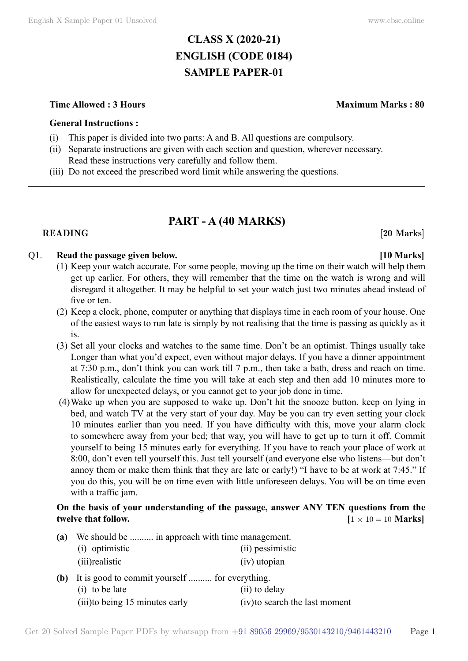# **CLASS X (2020-21) ENGLISH (CODE 0184) SAMPLE PAPER-01**

### **Time Allowed : 3 Hours Maximum Marks : 80**

### **General Instructions :**

- (i) This paper is divided into two parts: A and B. All questions are compulsory.
- (ii) Separate instructions are given with each section and question, wherever necessary. Read these instructions very carefully and follow them.
- (iii) Do not exceed the prescribed word limit while answering the questions.

# **PART - A (40 Marks)**

### **READING** [20 Marks]

## Q1. **Read the passage given below. [10 Marks]**

- (1) Keep your watch accurate. For some people, moving up the time on their watch will help them get up earlier. For others, they will remember that the time on the watch is wrong and will disregard it altogether. It may be helpful to set your watch just two minutes ahead instead of five or ten.
- (2) Keep a clock, phone, computer or anything that displays time in each room of your house. One of the easiest ways to run late is simply by not realising that the time is passing as quickly as it is.
- (3) Set all your clocks and watches to the same time. Don't be an optimist. Things usually take Longer than what you'd expect, even without major delays. If you have a dinner appointment at 7:30 p.m., don't think you can work till 7 p.m., then take a bath, dress and reach on time. Realistically, calculate the time you will take at each step and then add 10 minutes more to allow for unexpected delays, or you cannot get to your job done in time.
- (4)Wake up when you are supposed to wake up. Don't hit the snooze button, keep on lying in bed, and watch TV at the very start of your day. May be you can try even setting your clock 10 minutes earlier than you need. If you have difficulty with this, move your alarm clock to somewhere away from your bed; that way, you will have to get up to turn it off. Commit yourself to being 15 minutes early for everything. If you have to reach your place of work at 8:00, don't even tell yourself this. Just tell yourself (and everyone else who listens—but don't annoy them or make them think that they are late or early!) "I have to be at work at 7:45." If you do this, you will be on time even with little unforeseen delays. You will be on time even with a traffic jam.

## **On the basis of your understanding of the passage, answer ANY TEN questions from the twelve that follow.**  $[1 \times 10 = 10 \text{ Marks}]$

- **(a)** We should be .......... in approach with time management. (i) optimistic (ii) pessimistic (iii)realistic (iv) utopian **(b)** It is good to commit yourself .......... for everything.
	- (i) to be late (ii) to delay (iii)to being 15 minutes early (iv)to search the last moment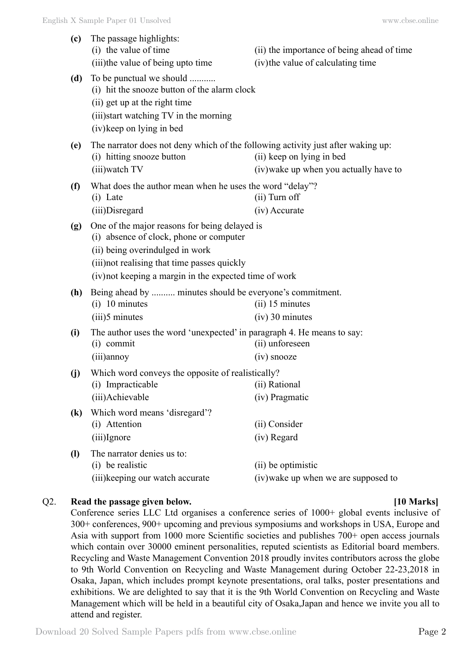| (c)                        | The passage highlights:<br>(i) the value of time                                                                                                                                                                                      | (ii) the importance of being ahead of time                          |  |
|----------------------------|---------------------------------------------------------------------------------------------------------------------------------------------------------------------------------------------------------------------------------------|---------------------------------------------------------------------|--|
|                            | (iii) the value of being up to time                                                                                                                                                                                                   | (iv) the value of calculating time                                  |  |
| (d)                        | To be punctual we should<br>(i) hit the snooze button of the alarm clock<br>(ii) get up at the right time<br>(iii) start watching TV in the morning<br>(iv) keep on lying in bed                                                      |                                                                     |  |
| (e)                        | The narrator does not deny which of the following activity just after waking up:<br>(i) hitting snooze button<br>(iii) watch TV                                                                                                       | (ii) keep on lying in bed<br>(iv) wake up when you actually have to |  |
| (f)                        | What does the author mean when he uses the word "delay"?<br>$(i)$ Late<br>(iii)Disregard                                                                                                                                              | $(ii)$ Turn off<br>(iv) Accurate                                    |  |
| (g)                        | One of the major reasons for being delayed is<br>(i) absence of clock, phone or computer<br>(ii) being overindulged in work<br>(iii) not realising that time passes quickly<br>(iv) not keeping a margin in the expected time of work |                                                                     |  |
| (h)                        | Being ahead by  minutes should be everyone's commitment.<br>$(i)$ 10 minutes<br>$(iii)$ 5 minutes                                                                                                                                     | $(ii)$ 15 minutes<br>$(iv)$ 30 minutes                              |  |
| (i)                        | The author uses the word 'unexpected' in paragraph 4. He means to say:<br>$(i)$ commit<br>(iii)annoy                                                                                                                                  | (ii) unforeseen<br>$(iv)$ snooze                                    |  |
| (j)                        | Which word conveys the opposite of realistically?<br>(ii) Rational<br>(i) Impracticable<br>(iii)Achievable                                                                                                                            | (iv) Pragmatic                                                      |  |
| $\left( \mathbf{k}\right)$ | Which word means 'disregard'?<br>(i) Attention<br>(iii)Ignore                                                                                                                                                                         | (ii) Consider<br>(iv) Regard                                        |  |
| $\mathbf{I}$               | The narrator denies us to:<br>(i) be realistic<br>(iii) keeping our watch accurate                                                                                                                                                    | (ii) be optimistic<br>(iv) wake up when we are supposed to          |  |

#### Q2. **Read the passage given below. [10 Marks]**

Conference series LLC Ltd organises a conference series of 1000+ global events inclusive of 300+ conferences, 900+ upcoming and previous symposiums and workshops in USA, Europe and Asia with support from 1000 more Scientific societies and publishes 700+ open access journals which contain over 30000 eminent personalities, reputed scientists as Editorial board members. Recycling and Waste Management Convention 2018 proudly invites contributors across the globe to 9th World Convention on Recycling and Waste Management during October 22-23,2018 in Osaka, Japan, which includes prompt keynote presentations, oral talks, poster presentations and exhibitions. We are delighted to say that it is the 9th World Convention on Recycling and Waste Management which will be held in a beautiful city of Osaka,Japan and hence we invite you all to attend and register.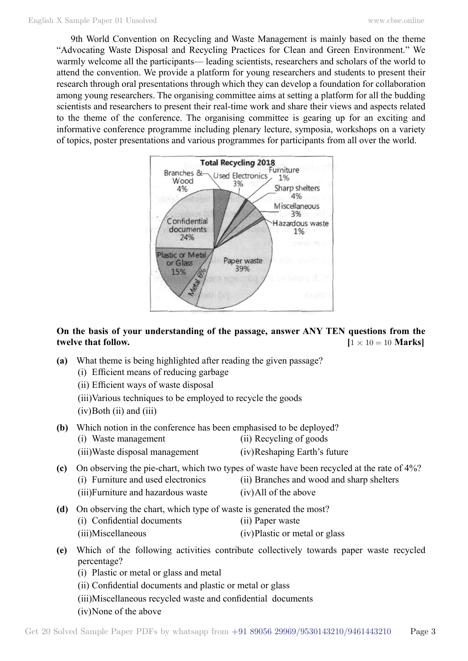9th World Convention on Recycling and Waste Management is mainly based on the theme "Advocating Waste Disposal and Recycling Practices for Clean and Green Environment." We warmly welcome all the participants— leading scientists, researchers and scholars of the world to attend the convention. We provide a platform for young researchers and students to present their research through oral presentations through which they can develop a foundation for collaboration among young researchers. The organising committee aims at setting a platform for all the budding scientists and researchers to present their real-time work and share their views and aspects related to the theme of the conference. The organising committee is gearing up for an exciting and informative conference programme including plenary lecture, symposia, workshops on a variety of topics, poster presentations and various programmes for participants from all over the world.



# **On the basis of your understanding of the passage, answer ANY TEN questions from the twelve that follow.**  $[1 \times 10 = 10 \text{ Marks}]$

- **(a)** What theme is being highlighted after reading the given passage?
	- (i) Efficient means of reducing garbage

(ii) Efficient ways of waste disposal

(iii)Various techniques to be employed to recycle the goods

 $(iv)$ Both  $(ii)$  and  $(iii)$ 

- **(b)** Which notion in the conference has been emphasised to be deployed? (i) Waste management (ii) Recycling of goods
	- (iii)Waste disposal management (iv)Reshaping Earth's future
- -
- **(c)** On observing the pie-chart, which two types of waste have been recycled at the rate of 4%? (i) Furniture and used electronics (ii) Branches and wood and sharp shelters
	- (iii)Furniture and hazardous waste (iv)All of the above
- 
- **(d)** On observing the chart, which type of waste is generated the most?
	- (i) Confidential documents (ii) Paper waste
	- (iii)Miscellaneous (iv)Plastic or metal or glass
- **(e)** Which of the following activities contribute collectively towards paper waste recycled percentage?
	- (i) Plastic or metal or glass and metal
	- (ii) Confidential documents and plastic or metal or glass
	- (iii)Miscellaneous recycled waste and confidential documents
	- (iv)None of the above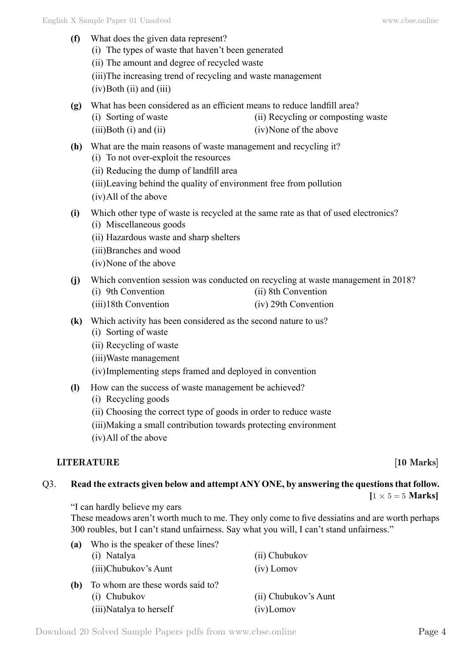- **(f)** What does the given data represent? (i) The types of waste that haven't been generated (ii) The amount and degree of recycled waste (iii)The increasing trend of recycling and waste management  $(iv)$ Both  $(ii)$  and  $(iii)$ **(g)** What has been considered as an efficient means to reduce landfill area? (i) Sorting of waste (ii) Recycling or composting waste (iii)Both (i) and (ii) (iv)None of the above **(h)** What are the main reasons of waste management and recycling it? (i) To not over-exploit the resources (ii) Reducing the dump of landfill area (iii)Leaving behind the quality of environment free from pollution (iv)All of the above **(i)** Which other type of waste is recycled at the same rate as that of used electronics? (i) Miscellaneous goods (ii) Hazardous waste and sharp shelters (iii)Branches and wood (iv)None of the above **(j)** Which convention session was conducted on recycling at waste management in 2018? (i) 9th Convention (ii) 8th Convention (iii)18th Convention (iv) 29th Convention **(k)** Which activity has been considered as the second nature to us? (i) Sorting of waste (ii) Recycling of waste (iii)Waste management (iv)Implementing steps framed and deployed in convention **(l)** How can the success of waste management be achieved? (i) Recycling goods (ii) Choosing the correct type of goods in order to reduce waste (iii)Making a small contribution towards protecting environment
	- (iv)All of the above

## **LITERATURE** [10 Marks]

# Q3. **Read the extracts given below and attempt ANY ONE, by answering the questions that follow.**

 $[1 \times 5 = 5$  **Marks**]

"I can hardly believe my ears

These meadows aren't worth much to me. They only come to five dessiatins and are worth perhaps 300 roubles, but I can't stand unfairness. Say what you will, I can't stand unfairness."

| (a) | Who is the speaker of these lines? |                      |
|-----|------------------------------------|----------------------|
|     | (i) Natalya                        | (ii) Chubukov        |
|     | (iii)Chubukov's Aunt               | $(iv)$ Lomov         |
| (b) | To whom are these words said to?   |                      |
|     | (i) Chubukov                       | (ii) Chubukov's Aunt |
|     | (iii) Natalya to herself           | $(iv)$ Lomov         |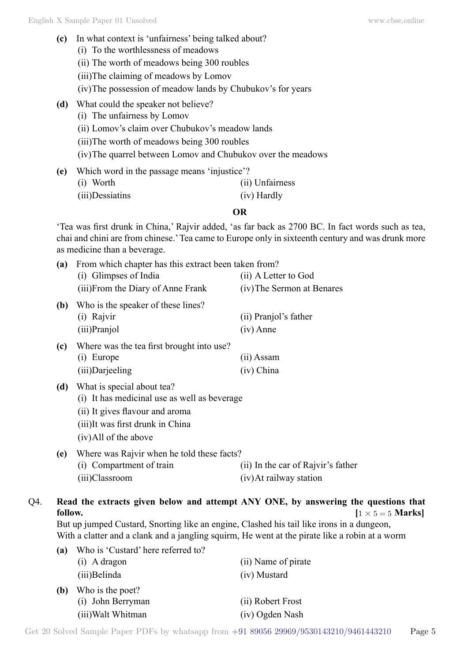**(c)** In what context is 'unfairness' being talked about? (i) To the worthlessness of meadows (ii) The worth of meadows being 300 roubles (iii)The claiming of meadows by Lomov (iv)The possession of meadow lands by Chubukov's for years **(d)** What could the speaker not believe? (i) The unfairness by Lomov (ii) Lomov's claim over Chubukov's meadow lands (iii)The worth of meadows being 300 roubles (iv)The quarrel between Lomov and Chubukov over the meadows **(e)** Which word in the passage means 'injustice'?

| $\overline{v}$ must word in the passage means influsted : |                 |
|-----------------------------------------------------------|-----------------|
| (i) Worth                                                 | (ii) Unfairness |
| (iii)Dessiatins                                           | (iv) Hardly     |

### **O**

'Tea was first drunk in China,' Rajvir added, 'as far back as 2700 BC. In fact words such as tea, chai and chini are from chinese.' Tea came to Europe only in sixteenth century and was drunk more as medicine than a beverage.

| (a)     | From which chapter has this extract been taken from?                                         |                                    |
|---------|----------------------------------------------------------------------------------------------|------------------------------------|
|         | (i) Glimpses of India                                                                        | (ii) A Letter to God               |
|         | (iii) From the Diary of Anne Frank                                                           | (iv) The Sermon at Benares         |
| (b)     | Who is the speaker of these lines?                                                           |                                    |
|         | (i) Rajvir                                                                                   | (ii) Pranjol's father              |
|         | (iii)Pranjol                                                                                 | $(iv)$ Anne                        |
| (c)     | Where was the tea first brought into use?                                                    |                                    |
|         | (i) Europe                                                                                   | (ii) Assam                         |
|         | (iii)Darjeeling                                                                              | (iv) China                         |
| (d)     | What is special about tea?                                                                   |                                    |
|         | (i) It has medicinal use as well as beverage                                                 |                                    |
|         | (ii) It gives flavour and aroma                                                              |                                    |
|         | (iii)It was first drunk in China                                                             |                                    |
|         | (iv) All of the above                                                                        |                                    |
| (e)     | Where was Rajvir when he told these facts?                                                   |                                    |
|         | (i) Compartment of train                                                                     | (ii) In the car of Rajvir's father |
|         | (iii)Classroom                                                                               | (iv) At railway station            |
|         |                                                                                              |                                    |
| follow. | Read the extracts given below and attempt ANY ONE, by answering the questic                  | $1 \times 5 = 5$                   |
|         | But up jumped Custard, Snorting like an engine, Clashed his tail like irons in a dungeon,    |                                    |
|         | With a clatter and a clank and a jangling squirm, He went at the pirate like a robin at a wo |                                    |
| (a)     | Who is 'Custard' here referred to?                                                           |                                    |
|         | (i) A dragon                                                                                 | (ii) Name of pirate                |
|         | (iii)Belinda                                                                                 | (iv) Mustard                       |
| (b)     | Who is the poet?                                                                             |                                    |
|         |                                                                                              | $\sqrt{N}$ 1 $\sqrt{N}$            |

# Q4. **Read the extracts given below and attempt ANY ONE, by answering the questions that follow.**  $[1 \times 5 = 5 \text{ Marks}]$

| a)  | WHO is Custard Here referred to! |                     |  |  |
|-----|----------------------------------|---------------------|--|--|
|     | $(i)$ A dragon                   | (ii) Name of pirate |  |  |
|     | (iii) Belinda                    | (iv) Mustard        |  |  |
| (b) | Who is the poet?                 |                     |  |  |
|     | (i) John Berryman                | (ii) Robert Frost   |  |  |
|     | (iii) Walt Whitman               | (iv) Ogden Nash     |  |  |
|     |                                  |                     |  |  |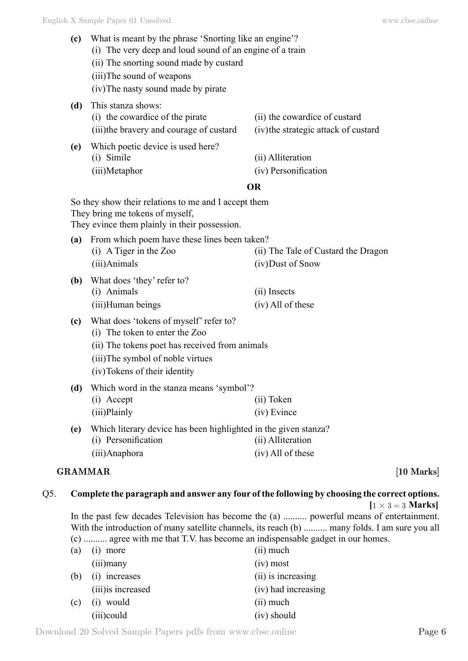- **(c)** What is meant by the phrase 'Snorting like an engine'? (i) The very deep and loud sound of an engine of a train
	- (ii) The snorting sound made by custard
	- (iii)The sound of weapons
	- (iv)The nasty sound made by pirate
- **(d)** This stanza shows: (i) the cowardice of the pirate (ii) the cowardice of custard (iii)the bravery and courage of custard (iv)the strategic attack of custard **(e)** Which poetic device is used here? (i) Simile (ii) Alliteration
	- (iii)Metaphor (iv) Personification

# **O**

| So they show their relations to me and I accept them<br>They bring me tokens of myself,<br>They evince them plainly in their possession. |                                                                                                                                                                                                 |                                                          |  |
|------------------------------------------------------------------------------------------------------------------------------------------|-------------------------------------------------------------------------------------------------------------------------------------------------------------------------------------------------|----------------------------------------------------------|--|
| (a)                                                                                                                                      | From which poem have these lines been taken?<br>$(i)$ A Tiger in the Zoo<br>(iii)Animals                                                                                                        | (ii) The Tale of Custard the Dragon<br>(iv) Dust of Snow |  |
| (b)                                                                                                                                      | What does 'they' refer to?<br>(i) Animals<br>(iii) Human beings                                                                                                                                 | (ii) Insects<br>(iv) All of these                        |  |
| (c)                                                                                                                                      | What does 'tokens of myself' refer to?<br>(i) The token to enter the Zoo<br>(ii) The tokens poet has received from animals<br>(iii)The symbol of noble virtues<br>(iv) Tokens of their identity |                                                          |  |
| (d)                                                                                                                                      | Which word in the stanza means 'symbol'?<br>(i) Accept<br>(iii)Plainly                                                                                                                          | (ii) Token<br>(iv) Evince                                |  |
| (e)                                                                                                                                      | Which literary device has been highlighted in the given stanza?<br>(i) Personification<br>(iii)Anaphora                                                                                         | (ii) Alliteration<br>(iv) All of these                   |  |

## **GRAMMAR [10 Marks]**

# Q5. **Complete the paragraph and answer any four of the following by choosing the correct options.**

 $[1 \times 3 = 3$  **Marks** 

In the past few decades Television has become the (a) .......... powerful means of entertainment. With the introduction of many satellite channels, its reach (b) .......... many folds. I am sure you all (c) .......... agree with me that T.V. has become an indispensable gadget in our homes.

| (a) | $(i)$ more         | (ii) much           |
|-----|--------------------|---------------------|
|     | $(iii)$ many       | $(iv)$ most         |
|     | (b) (i) increases  | (ii) is increasing  |
|     | (iii) is increased | (iv) had increasing |
| (c) | $(i)$ would        | $(ii)$ much         |
|     | (iii)could         | $(iv)$ should       |

Download 20 Solved Sample Papers pdfs from [www.cbse.online](http://www.cbse.online) Page 6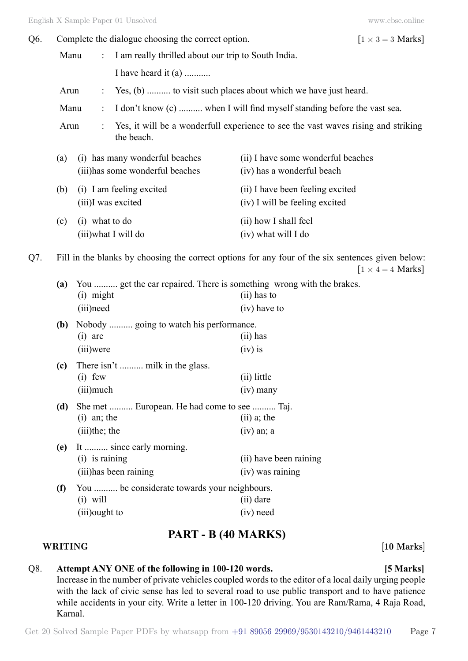| Q6. | Complete the dialogue choosing the correct option.                                                                            |                             | $[1 \times 3 = 3$ Marks]                                           |                                                                                       |  |
|-----|-------------------------------------------------------------------------------------------------------------------------------|-----------------------------|--------------------------------------------------------------------|---------------------------------------------------------------------------------------|--|
|     | Manu                                                                                                                          | $\ddot{\ddot{\phantom{0}}}$ | I am really thrilled about our trip to South India.                |                                                                                       |  |
|     |                                                                                                                               |                             | I have heard it (a)                                                |                                                                                       |  |
|     | Arun<br>÷                                                                                                                     |                             | Yes, (b)  to visit such places about which we have just heard.     |                                                                                       |  |
|     | I don't know (c)  when I will find myself standing before the vast sea.<br>Manu<br>$\ddot{\cdot}$                             |                             |                                                                    |                                                                                       |  |
|     | Arun<br>the beach.                                                                                                            |                             |                                                                    | Yes, it will be a wonderfull experience to see the vast waves rising and striking     |  |
|     | (a)                                                                                                                           |                             | (i) has many wonderful beaches<br>(iii) has some wonderful beaches | (ii) I have some wonderful beaches<br>(iv) has a wonderful beach                      |  |
|     | (b)                                                                                                                           |                             | (i) I am feeling excited<br>(iii)I was excited                     | (ii) I have been feeling excited<br>(iv) I will be feeling excited                    |  |
|     | (c)                                                                                                                           | $(i)$ what to do            | (iii) what I will do                                               | (ii) how I shall feel<br>(iv) what will I do                                          |  |
| Q7. | Fill in the blanks by choosing the correct options for any four of the six sentences given below:<br>$[1 \times 4 = 4$ Marks] |                             |                                                                    |                                                                                       |  |
|     | (a)                                                                                                                           | (i) might                   |                                                                    | You  get the car repaired. There is something wrong with the brakes.<br>$(ii)$ has to |  |
|     |                                                                                                                               | (iii) need                  |                                                                    | (iv) have to                                                                          |  |
|     | (b)                                                                                                                           | $(i)$ are                   | Nobody  going to watch his performance.                            | $(ii)$ has                                                                            |  |
|     |                                                                                                                               | (iii)were                   |                                                                    | $(iv)$ is                                                                             |  |
|     | (c)                                                                                                                           | $(i)$ few                   | There isn't  milk in the glass.                                    | (ii) little                                                                           |  |
|     |                                                                                                                               | (iii) much                  |                                                                    | $(iv)$ many                                                                           |  |
|     | She met  European. He had come to see  Taj.<br>(d)                                                                            |                             |                                                                    |                                                                                       |  |
|     |                                                                                                                               | $(i)$ an; the               |                                                                    | $(ii)$ a; the                                                                         |  |
|     |                                                                                                                               | $(iii)$ the; the            |                                                                    | $(iv)$ an; a                                                                          |  |
|     | (e)                                                                                                                           | $(i)$ is raining            | It  since early morning.                                           | (ii) have been raining                                                                |  |
|     |                                                                                                                               |                             | (iii) has been raining                                             | (iv) was raining                                                                      |  |
|     | (f)                                                                                                                           |                             | You  be considerate towards your neighbours.                       |                                                                                       |  |
|     |                                                                                                                               | $(i)$ will                  |                                                                    | $(ii)$ dare                                                                           |  |
|     |                                                                                                                               | (iii) ought to              |                                                                    | (iv) need                                                                             |  |

# **PART - B (40 Marks)**

### **WRITING [10 Marks]**

# Q8. **Attempt ANY ONE of the following in 100-120 words. [5 Marks]**

Increase in the number of private vehicles coupled words to the editor of a local daily urging people with the lack of civic sense has led to several road to use public transport and to have patience while accidents in your city. Write a letter in 100-120 driving. You are Ram/Rama, 4 Raja Road, Karnal.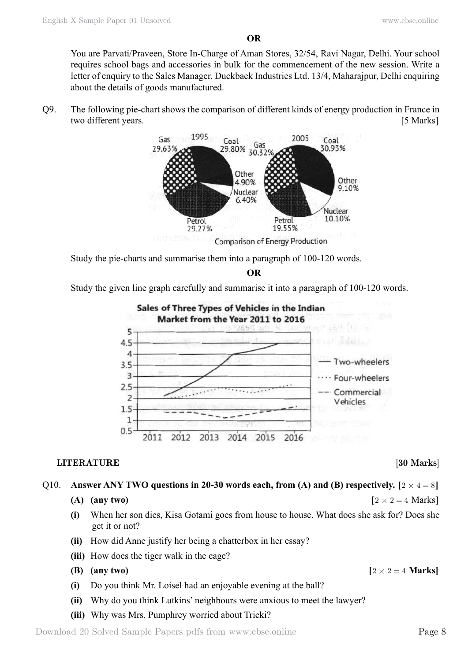**O**

You are Parvati/Praveen, Store In-Charge of Aman Stores, 32/54, Ravi Nagar, Delhi. Your school requires school bags and accessories in bulk for the commencement of the new session. Write a letter of enquiry to the Sales Manager, Duckback Industries Ltd. 13/4, Maharajpur, Delhi enquiring about the details of goods manufactured.

Q9. The following pie-chart shows the comparison of different kinds of energy production in France in two different years. [5 Marks]



Study the pie-charts and summarise them into a paragraph of 100-120 words.

 **O**

Study the given line graph carefully and summarise it into a paragraph of 100-120 words.



## **LITERATURE** [30 Marks]

Q10. **Answer ANY TWO questions in 20-30 words each, from (A) and (B) respectively.**  $[2 \times 4 = 8]$ 

```
(A) (any two) \left[2 \times 2 = 4 \text{ Marks}\right]
```
- **(i)** When her son dies, Kisa Gotami goes from house to house. What does she ask for? Does she get it or not?
- **(ii)** How did Anne justify her being a chatterbox in her essay?
- **(iii)** How does the tiger walk in the cage?
- **(B) (any two)**  $[2 \times 2 = 4$  **Marks**]
- **(i)** Do you think Mr. Loisel had an enjoyable evening at the ball?
- **(ii)** Why do you think Lutkins' neighbours were anxious to meet the lawyer?
- **(iii)** Why was Mrs. Pumphrey worried about Tricki?